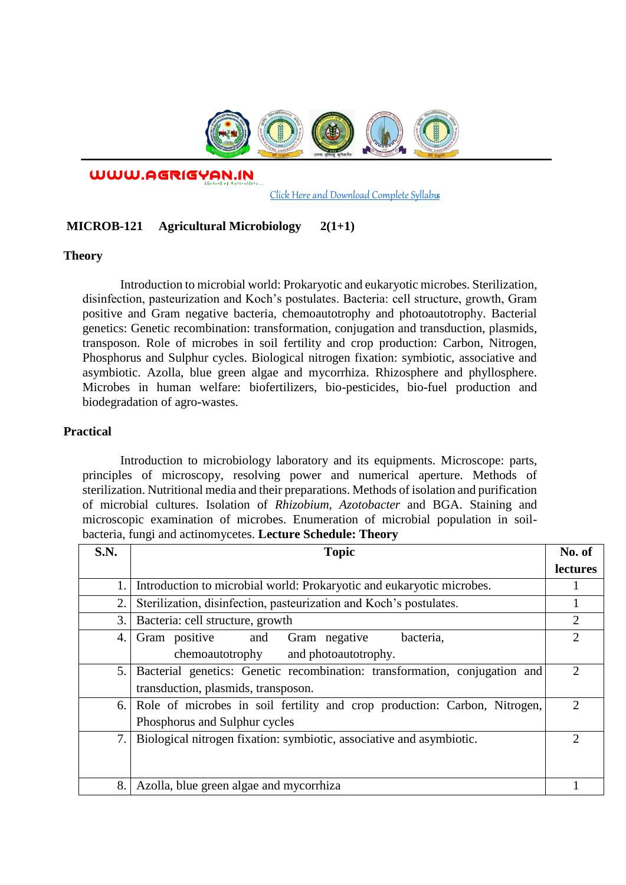

WWW.AGRIGYAN.IN

[Click Here and Download Complete Syllabus](http://agrigyan.in/)

## **MICROB-121 Agricultural Microbiology 2(1+1)**

## **Theory**

 $\overline{a}$ 

Introduction to microbial world: Prokaryotic and eukaryotic microbes. Sterilization, disinfection, pasteurization and Koch's postulates. Bacteria: cell structure, growth, Gram positive and Gram negative bacteria, chemoautotrophy and photoautotrophy. Bacterial genetics: Genetic recombination: transformation, conjugation and transduction, plasmids, transposon. Role of microbes in soil fertility and crop production: Carbon, Nitrogen, Phosphorus and Sulphur cycles. Biological nitrogen fixation: symbiotic, associative and asymbiotic. Azolla, blue green algae and mycorrhiza. Rhizosphere and phyllosphere. Microbes in human welfare: biofertilizers, bio-pesticides, bio-fuel production and biodegradation of agro-wastes.

## **Practical**

Introduction to microbiology laboratory and its equipments. Microscope: parts, principles of microscopy, resolving power and numerical aperture. Methods of sterilization. Nutritional media and their preparations. Methods of isolation and purification of microbial cultures. Isolation of *Rhizobium, Azotobacter* and BGA. Staining and microscopic examination of microbes. Enumeration of microbial population in soilbacteria, fungi and actinomycetes. **Lecture Schedule: Theory** 

| <b>S.N.</b> | <b>Topic</b>                                                               | No. of                      |
|-------------|----------------------------------------------------------------------------|-----------------------------|
|             |                                                                            | <b>lectures</b>             |
| 1.          | Introduction to microbial world: Prokaryotic and eukaryotic microbes.      |                             |
| 2.          | Sterilization, disinfection, pasteurization and Koch's postulates.         |                             |
| 3.          | Bacteria: cell structure, growth                                           | 2                           |
| 4.          | Gram positive<br>Gram negative<br>bacteria,<br>and                         | 2                           |
|             | chemoautotrophy<br>and photoautotrophy.                                    |                             |
| 5.          | Bacterial genetics: Genetic recombination: transformation, conjugation and | $\mathcal{D}_{\mathcal{A}}$ |
|             | transduction, plasmids, transposon.                                        |                             |
| 6.          | Role of microbes in soil fertility and crop production: Carbon, Nitrogen,  | 2                           |
|             | Phosphorus and Sulphur cycles                                              |                             |
| 7.          | Biological nitrogen fixation: symbiotic, associative and asymbiotic.       | 2                           |
|             |                                                                            |                             |
|             |                                                                            |                             |
| 8.          | Azolla, blue green algae and mycorrhiza                                    |                             |